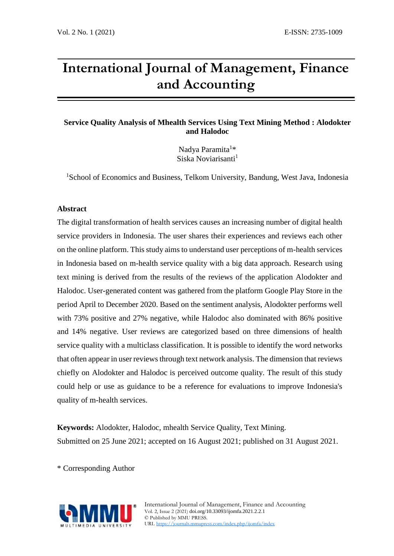# **International Journal of Management, Finance and Accounting**

# **Service Quality Analysis of Mhealth Services Using Text Mining Method : Alodokter and Halodoc**

Nadya Paramita<sup>1\*</sup> Siska Noviarisanti<sup>1</sup>

<sup>1</sup>School of Economics and Business, Telkom University, Bandung, West Java, Indonesia

# **Abstract**

The digital transformation of health services causes an increasing number of digital health service providers in Indonesia. The user shares their experiences and reviews each other on the online platform. This study aims to understand user perceptions of m-health services in Indonesia based on m-health service quality with a big data approach. Research using text mining is derived from the results of the reviews of the application Alodokter and Halodoc. User-generated content was gathered from the platform Google Play Store in the period April to December 2020. Based on the sentiment analysis, Alodokter performs well with 73% positive and 27% negative, while Halodoc also dominated with 86% positive and 14% negative. User reviews are categorized based on three dimensions of health service quality with a multiclass classification. It is possible to identify the word networks that often appear in user reviews through text network analysis. The dimension that reviews chiefly on Alodokter and Halodoc is perceived outcome quality. The result of this study could help or use as guidance to be a reference for evaluations to improve Indonesia's quality of m-health services.

**Keywords:** Alodokter, Halodoc, mhealth Service Quality, Text Mining. Submitted on 25 June 2021; accepted on 16 August 2021; published on 31 August 2021.

\* Corresponding Author

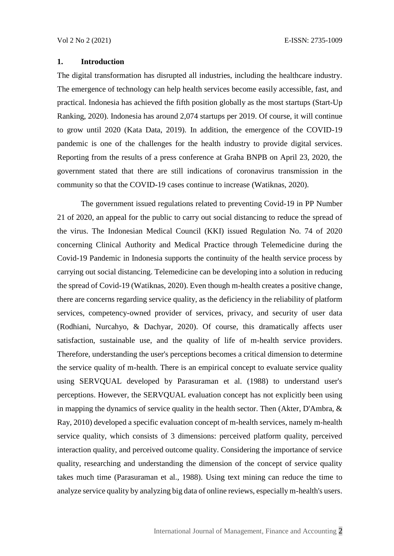# **1. Introduction**

The digital transformation has disrupted all industries, including the healthcare industry. The emergence of technology can help health services become easily accessible, fast, and practical. Indonesia has achieved the fifth position globally as the most startups (Start-Up Ranking, 2020). Indonesia has around 2,074 startups per 2019. Of course, it will continue to grow until 2020 (Kata Data, 2019). In addition, the emergence of the COVID-19 pandemic is one of the challenges for the health industry to provide digital services. Reporting from the results of a press conference at Graha BNPB on April 23, 2020, the government stated that there are still indications of coronavirus transmission in the community so that the COVID-19 cases continue to increase (Watiknas, 2020).

The government issued regulations related to preventing Covid-19 in PP Number 21 of 2020, an appeal for the public to carry out social distancing to reduce the spread of the virus. The Indonesian Medical Council (KKI) issued Regulation No. 74 of 2020 concerning Clinical Authority and Medical Practice through Telemedicine during the Covid-19 Pandemic in Indonesia supports the continuity of the health service process by carrying out social distancing. Telemedicine can be developing into a solution in reducing the spread of Covid-19 (Watiknas, 2020). Even though m-health creates a positive change, there are concerns regarding service quality, as the deficiency in the reliability of platform services, competency-owned provider of services, privacy, and security of user data (Rodhiani, Nurcahyo, & Dachyar, 2020). Of course, this dramatically affects user satisfaction, sustainable use, and the quality of life of m-health service providers. Therefore, understanding the user's perceptions becomes a critical dimension to determine the service quality of m-health. There is an empirical concept to evaluate service quality using SERVQUAL developed by Parasuraman et al. (1988) to understand user's perceptions. However, the SERVQUAL evaluation concept has not explicitly been using in mapping the dynamics of service quality in the health sector. Then (Akter, D'Ambra, & Ray, 2010) developed a specific evaluation concept of m-health services, namely m-health service quality, which consists of 3 dimensions: perceived platform quality, perceived interaction quality, and perceived outcome quality. Considering the importance of service quality, researching and understanding the dimension of the concept of service quality takes much time (Parasuraman et al., 1988). Using text mining can reduce the time to analyze service quality by analyzing big data of online reviews, especially m-health's users.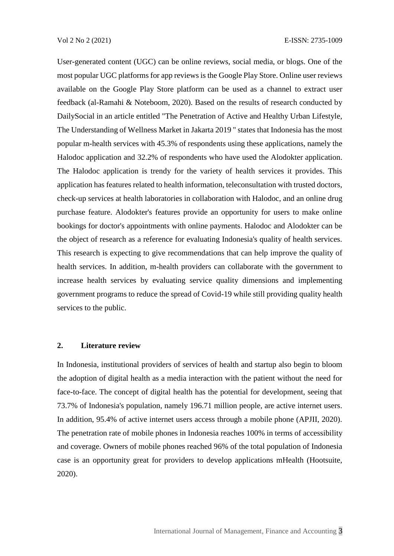User-generated content (UGC) can be online reviews, social media, or blogs. One of the most popular UGC platforms for app reviews is the Google Play Store. Online user reviews available on the Google Play Store platform can be used as a channel to extract user feedback (al-Ramahi & Noteboom, 2020). Based on the results of research conducted by DailySocial in an article entitled "The Penetration of Active and Healthy Urban Lifestyle, The Understanding of Wellness Market in Jakarta 2019 " states that Indonesia has the most popular m-health services with 45.3% of respondents using these applications, namely the Halodoc application and 32.2% of respondents who have used the Alodokter application. The Halodoc application is trendy for the variety of health services it provides. This application has features related to health information, teleconsultation with trusted doctors, check-up services at health laboratories in collaboration with Halodoc, and an online drug purchase feature. Alodokter's features provide an opportunity for users to make online bookings for doctor's appointments with online payments. Halodoc and Alodokter can be the object of research as a reference for evaluating Indonesia's quality of health services. This research is expecting to give recommendations that can help improve the quality of health services. In addition, m-health providers can collaborate with the government to increase health services by evaluating service quality dimensions and implementing government programs to reduce the spread of Covid-19 while still providing quality health services to the public.

# **2. Literature review**

In Indonesia, institutional providers of services of health and startup also begin to bloom the adoption of digital health as a media interaction with the patient without the need for face-to-face. The concept of digital health has the potential for development, seeing that 73.7% of Indonesia's population, namely 196.71 million people, are active internet users. In addition, 95.4% of active internet users access through a mobile phone (APJII, 2020). The penetration rate of mobile phones in Indonesia reaches 100% in terms of accessibility and coverage. Owners of mobile phones reached 96% of the total population of Indonesia case is an opportunity great for providers to develop applications mHealth (Hootsuite, 2020).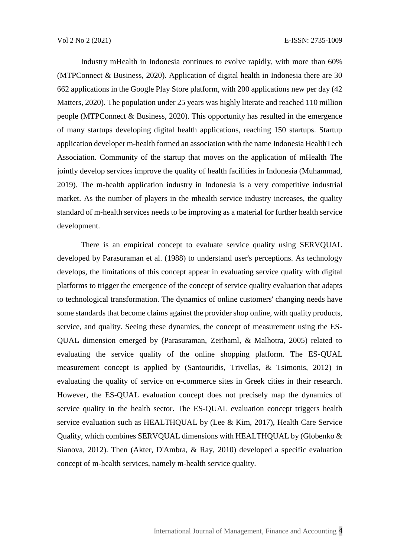Industry mHealth in Indonesia continues to evolve rapidly, with more than 60% (MTPConnect & Business, 2020). Application of digital health in Indonesia there are 30 662 applications in the Google Play Store platform, with 200 applications new per day (42 Matters, 2020). The population under 25 years was highly literate and reached 110 million people (MTPConnect & Business, 2020). This opportunity has resulted in the emergence of many startups developing digital health applications, reaching 150 startups. Startup application developer m-health formed an association with the name Indonesia HealthTech Association. Community of the startup that moves on the application of mHealth The jointly develop services improve the quality of health facilities in Indonesia (Muhammad, 2019). The m-health application industry in Indonesia is a very competitive industrial market. As the number of players in the mhealth service industry increases, the quality standard of m-health services needs to be improving as a material for further health service development.

There is an empirical concept to evaluate service quality using SERVQUAL developed by Parasuraman et al. (1988) to understand user's perceptions. As technology develops, the limitations of this concept appear in evaluating service quality with digital platforms to trigger the emergence of the concept of service quality evaluation that adapts to technological transformation. The dynamics of online customers' changing needs have some standards that become claims against the provider shop online, with quality products, service, and quality. Seeing these dynamics, the concept of measurement using the ES-QUAL dimension emerged by (Parasuraman, Zeithaml, & Malhotra, 2005) related to evaluating the service quality of the online shopping platform. The ES-QUAL measurement concept is applied by (Santouridis, Trivellas, & Tsimonis, 2012) in evaluating the quality of service on e-commerce sites in Greek cities in their research. However, the ES-QUAL evaluation concept does not precisely map the dynamics of service quality in the health sector. The ES-QUAL evaluation concept triggers health service evaluation such as HEALTHQUAL by (Lee & Kim, 2017), Health Care Service Quality, which combines SERVQUAL dimensions with HEALTHQUAL by (Globenko & Sianova, 2012). Then (Akter, D'Ambra, & Ray, 2010) developed a specific evaluation concept of m-health services, namely m-health service quality.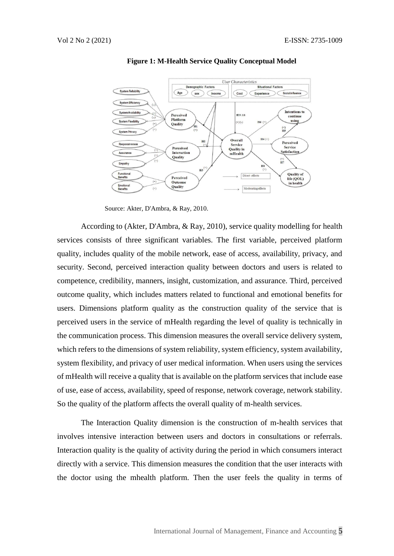

**Figure 1: M-Health Service Quality Conceptual Model**

According to (Akter, D'Ambra, & Ray, 2010), service quality modelling for health services consists of three significant variables. The first variable, perceived platform quality, includes quality of the mobile network, ease of access, availability, privacy, and security. Second, perceived interaction quality between doctors and users is related to competence, credibility, manners, insight, customization, and assurance. Third, perceived outcome quality, which includes matters related to functional and emotional benefits for users. Dimensions platform quality as the construction quality of the service that is perceived users in the service of mHealth regarding the level of quality is technically in the communication process. This dimension measures the overall service delivery system, which refers to the dimensions of system reliability, system efficiency, system availability, system flexibility, and privacy of user medical information. When users using the services of mHealth will receive a quality that is available on the platform services that include ease of use, ease of access, availability, speed of response, network coverage, network stability. So the quality of the platform affects the overall quality of m-health services.

The Interaction Quality dimension is the construction of m-health services that involves intensive interaction between users and doctors in consultations or referrals. Interaction quality is the quality of activity during the period in which consumers interact directly with a service. This dimension measures the condition that the user interacts with the doctor using the mhealth platform. Then the user feels the quality in terms of

Source: Akter, D'Ambra, & Ray, 2010.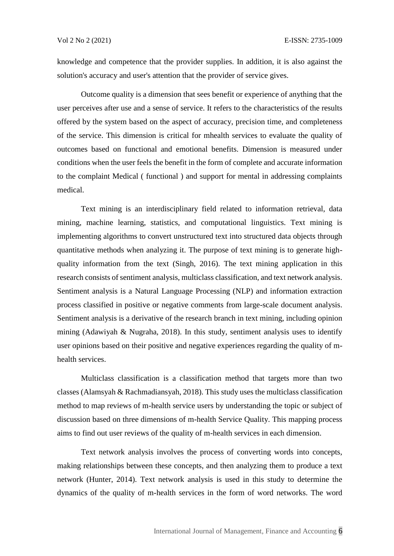knowledge and competence that the provider supplies. In addition, it is also against the solution's accuracy and user's attention that the provider of service gives.

Outcome quality is a dimension that sees benefit or experience of anything that the user perceives after use and a sense of service. It refers to the characteristics of the results offered by the system based on the aspect of accuracy, precision time, and completeness of the service. This dimension is critical for mhealth services to evaluate the quality of outcomes based on functional and emotional benefits. Dimension is measured under conditions when the user feels the benefit in the form of complete and accurate information to the complaint Medical ( functional ) and support for mental in addressing complaints medical.

Text mining is an interdisciplinary field related to information retrieval, data mining, machine learning, statistics, and computational linguistics. Text mining is implementing algorithms to convert unstructured text into structured data objects through quantitative methods when analyzing it. The purpose of text mining is to generate highquality information from the text (Singh, 2016). The text mining application in this research consists of sentiment analysis, multiclass classification, and text network analysis. Sentiment analysis is a Natural Language Processing (NLP) and information extraction process classified in positive or negative comments from large-scale document analysis. Sentiment analysis is a derivative of the research branch in text mining, including opinion mining (Adawiyah & Nugraha, 2018). In this study, sentiment analysis uses to identify user opinions based on their positive and negative experiences regarding the quality of mhealth services.

Multiclass classification is a classification method that targets more than two classes (Alamsyah & Rachmadiansyah, 2018). This study uses the multiclass classification method to map reviews of m-health service users by understanding the topic or subject of discussion based on three dimensions of m-health Service Quality. This mapping process aims to find out user reviews of the quality of m-health services in each dimension.

Text network analysis involves the process of converting words into concepts, making relationships between these concepts, and then analyzing them to produce a text network (Hunter, 2014). Text network analysis is used in this study to determine the dynamics of the quality of m-health services in the form of word networks. The word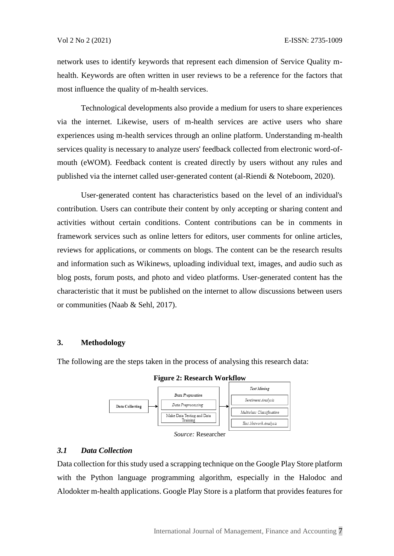network uses to identify keywords that represent each dimension of Service Quality mhealth. Keywords are often written in user reviews to be a reference for the factors that most influence the quality of m-health services.

Technological developments also provide a medium for users to share experiences via the internet. Likewise, users of m-health services are active users who share experiences using m-health services through an online platform. Understanding m-health services quality is necessary to analyze users' feedback collected from electronic word-ofmouth (eWOM). Feedback content is created directly by users without any rules and published via the internet called user-generated content (al-Riendi & Noteboom, 2020).

User-generated content has characteristics based on the level of an individual's contribution. Users can contribute their content by only accepting or sharing content and activities without certain conditions. Content contributions can be in comments in framework services such as online letters for editors, user comments for online articles, reviews for applications, or comments on blogs. The content can be the research results and information such as Wikinews, uploading individual text, images, and audio such as blog posts, forum posts, and photo and video platforms. User-generated content has the characteristic that it must be published on the internet to allow discussions between users or communities (Naab & Sehl, 2017).

#### **3. Methodology**

The following are the steps taken in the process of analysing this research data:



**Figure 2: Research Workflow**

#### *3.1 Data Collection*

Data collection for this study used a scrapping technique on the Google Play Store platform with the Python language programming algorithm, especially in the Halodoc and Alodokter m-health applications. Google Play Store is a platform that provides features for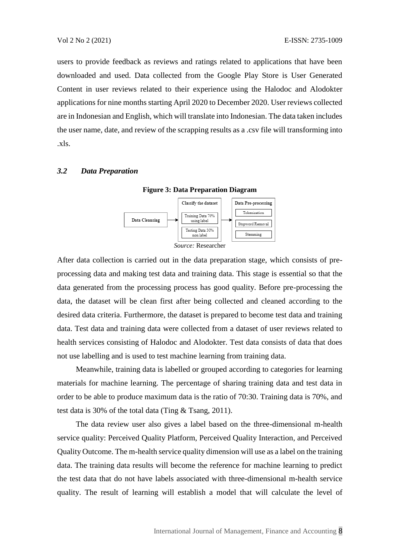users to provide feedback as reviews and ratings related to applications that have been downloaded and used. Data collected from the Google Play Store is User Generated Content in user reviews related to their experience using the Halodoc and Alodokter applications for nine months starting April 2020 to December 2020. User reviews collected are in Indonesian and English, which will translate into Indonesian. The data taken includes the user name, date, and review of the scrapping results as a .csv file will transforming into .xls.

### *3.2 Data Preparation*

Data Pre-processing Classify the dataset Tokenization Training Data 70% Data Cleansing using label Stopword Removal Testing Data 30% Stemming non Ishal *Source:* Researcher

**Figure 3: Data Preparation Diagram**

After data collection is carried out in the data preparation stage, which consists of preprocessing data and making test data and training data. This stage is essential so that the data generated from the processing process has good quality. Before pre-processing the data, the dataset will be clean first after being collected and cleaned according to the desired data criteria. Furthermore, the dataset is prepared to become test data and training data. Test data and training data were collected from a dataset of user reviews related to health services consisting of Halodoc and Alodokter. Test data consists of data that does not use labelling and is used to test machine learning from training data.

Meanwhile, training data is labelled or grouped according to categories for learning materials for machine learning. The percentage of sharing training data and test data in order to be able to produce maximum data is the ratio of 70:30. Training data is 70%, and test data is 30% of the total data (Ting & Tsang, 2011).

The data review user also gives a label based on the three-dimensional m-health service quality: Perceived Quality Platform, Perceived Quality Interaction, and Perceived Quality Outcome. The m-health service quality dimension will use as a label on the training data. The training data results will become the reference for machine learning to predict the test data that do not have labels associated with three-dimensional m-health service quality. The result of learning will establish a model that will calculate the level of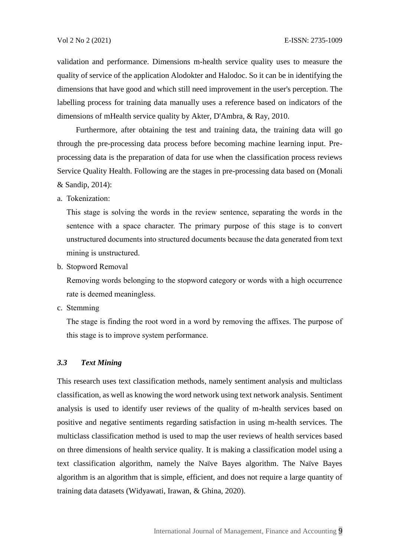validation and performance. Dimensions m-health service quality uses to measure the quality of service of the application Alodokter and Halodoc. So it can be in identifying the dimensions that have good and which still need improvement in the user's perception. The labelling process for training data manually uses a reference based on indicators of the dimensions of mHealth service quality by Akter, D'Ambra, & Ray, 2010.

Furthermore, after obtaining the test and training data, the training data will go through the pre-processing data process before becoming machine learning input. Preprocessing data is the preparation of data for use when the classification process reviews Service Quality Health. Following are the stages in pre-processing data based on (Monali & Sandip, 2014):

a. Tokenization:

This stage is solving the words in the review sentence, separating the words in the sentence with a space character. The primary purpose of this stage is to convert unstructured documents into structured documents because the data generated from text mining is unstructured.

b. Stopword Removal

Removing words belonging to the stopword category or words with a high occurrence rate is deemed meaningless.

c. Stemming

The stage is finding the root word in a word by removing the affixes. The purpose of this stage is to improve system performance.

### *3.3 Text Mining*

This research uses text classification methods, namely sentiment analysis and multiclass classification, as well as knowing the word network using text network analysis. Sentiment analysis is used to identify user reviews of the quality of m-health services based on positive and negative sentiments regarding satisfaction in using m-health services. The multiclass classification method is used to map the user reviews of health services based on three dimensions of health service quality. It is making a classification model using a text classification algorithm, namely the Naïve Bayes algorithm. The Naïve Bayes algorithm is an algorithm that is simple, efficient, and does not require a large quantity of training data datasets (Widyawati, Irawan, & Ghina, 2020).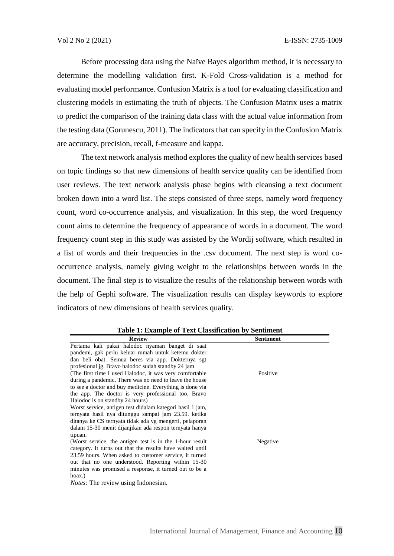Before processing data using the Naïve Bayes algorithm method, it is necessary to determine the modelling validation first. K-Fold Cross-validation is a method for evaluating model performance. Confusion Matrix is a tool for evaluating classification and clustering models in estimating the truth of objects. The Confusion Matrix uses a matrix to predict the comparison of the training data class with the actual value information from the testing data (Gorunescu, 2011). The indicators that can specify in the Confusion Matrix are accuracy, precision, recall, f-measure and kappa.

The text network analysis method explores the quality of new health services based on topic findings so that new dimensions of health service quality can be identified from user reviews. The text network analysis phase begins with cleansing a text document broken down into a word list. The steps consisted of three steps, namely word frequency count, word co-occurrence analysis, and visualization. In this step, the word frequency count aims to determine the frequency of appearance of words in a document. The word frequency count step in this study was assisted by the Wordij software, which resulted in a list of words and their frequencies in the .csv document. The next step is word cooccurrence analysis, namely giving weight to the relationships between words in the document. The final step is to visualize the results of the relationship between words with the help of Gephi software. The visualization results can display keywords to explore indicators of new dimensions of health services quality.

| <b>Review</b>                                             | <b>Sentiment</b> |
|-----------------------------------------------------------|------------------|
| Pertama kali pakai halodoc nyaman banget di saat          |                  |
| pandemi, gak perlu keluar rumah untuk ketemu dokter       |                  |
| dan beli obat. Semua beres via app. Dokternya sgt         |                  |
| profesional jg. Bravo halodoc sudah standby 24 jam        |                  |
| (The first time I used Halodoc, it was very comfortable   | Positive         |
| during a pandemic. There was no need to leave the house   |                  |
| to see a doctor and buy medicine. Everything is done via  |                  |
| the app. The doctor is very professional too. Bravo       |                  |
| Halodoc is on standby 24 hours)                           |                  |
| Worst service, antigen test didalam kategori hasil 1 jam, |                  |
| ternyata hasil nya ditunggu sampai jam 23.59. ketika      |                  |
| ditanya ke CS ternyata tidak ada yg mengerti, pelaporan   |                  |
| dalam 15-30 menit dijanjikan ada respon ternyata hanya    |                  |
| tipuan.                                                   |                  |
| (Worst service, the antigen test is in the 1-hour result  | Negative         |
| category. It turns out that the results have waited until |                  |
| 23.59 hours. When asked to customer service, it turned    |                  |
| out that no one understood. Reporting within 15-30        |                  |
| minutes was promised a response, it turned out to be a    |                  |
| hoax.)                                                    |                  |
| <i>Notes:</i> The review using Indonesian.                |                  |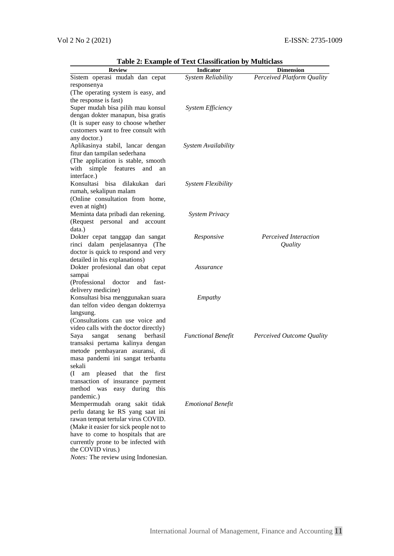| <b>Review</b>                                                              | <b>Indicator</b>           | <b>Dimension</b>           |
|----------------------------------------------------------------------------|----------------------------|----------------------------|
| Sistem operasi mudah dan cepat                                             | System Reliability         | Perceived Platform Quality |
| responsenya                                                                |                            |                            |
| (The operating system is easy, and                                         |                            |                            |
| the response is fast)                                                      |                            |                            |
| Super mudah bisa pilih mau konsul                                          | System Efficiency          |                            |
| dengan dokter manapun, bisa gratis                                         |                            |                            |
| (It is super easy to choose whether                                        |                            |                            |
| customers want to free consult with                                        |                            |                            |
| any doctor.)                                                               |                            |                            |
| Aplikasinya stabil, lancar dengan                                          | <b>System Availability</b> |                            |
| fitur dan tampilan sederhana                                               |                            |                            |
| (The application is stable, smooth<br>simple features<br>with<br>and<br>an |                            |                            |
| interface.)                                                                |                            |                            |
| Konsultasi<br>bisa<br>dilakukan<br>dari                                    | <b>System Flexibility</b>  |                            |
| rumah, sekalipun malam                                                     |                            |                            |
| (Online consultation from home,                                            |                            |                            |
| even at night)                                                             |                            |                            |
| Meminta data pribadi dan rekening.                                         | <b>System Privacy</b>      |                            |
| (Request personal and account                                              |                            |                            |
| data.)                                                                     |                            |                            |
| Dokter cepat tanggap dan sangat                                            | Responsive                 | Perceived Interaction      |
| rinci dalam penjelasannya (The                                             |                            | Quality                    |
| doctor is quick to respond and very                                        |                            |                            |
| detailed in his explanations)                                              |                            |                            |
| Dokter profesional dan obat cepat                                          | Assurance                  |                            |
| sampai                                                                     |                            |                            |
| (Professional<br>doctor<br>and<br>fast-                                    |                            |                            |
| delivery medicine)                                                         |                            |                            |
| Konsultasi bisa menggunakan suara<br>dan telfon video dengan dokternya     | Empathy                    |                            |
| langsung.                                                                  |                            |                            |
| (Consultations can use voice and                                           |                            |                            |
| video calls with the doctor directly)                                      |                            |                            |
| berhasil<br>sangat<br>senang<br>Saya                                       | <b>Functional Benefit</b>  | Perceived Outcome Quality  |
| transaksi pertama kalinya dengan                                           |                            |                            |
| metode pembayaran asuransi, di                                             |                            |                            |
| masa pandemi ini sangat terbantu                                           |                            |                            |
| sekali                                                                     |                            |                            |
| am pleased that the first<br>$\left( \prod \right)$                        |                            |                            |
| transaction of insurance payment                                           |                            |                            |
| method was easy during this                                                |                            |                            |
| pandemic.)                                                                 |                            |                            |
| Mempermudah orang sakit tidak                                              | <b>Emotional Benefit</b>   |                            |
| perlu datang ke RS yang saat ini                                           |                            |                            |
| rawan tempat tertular virus COVID.                                         |                            |                            |
| (Make it easier for sick people not to                                     |                            |                            |
| have to come to hospitals that are                                         |                            |                            |
| currently prone to be infected with<br>the COVID virus.)                   |                            |                            |
| Notes: The review using Indonesian.                                        |                            |                            |
|                                                                            |                            |                            |

**Table 2: Example of Text Classification by Multiclass**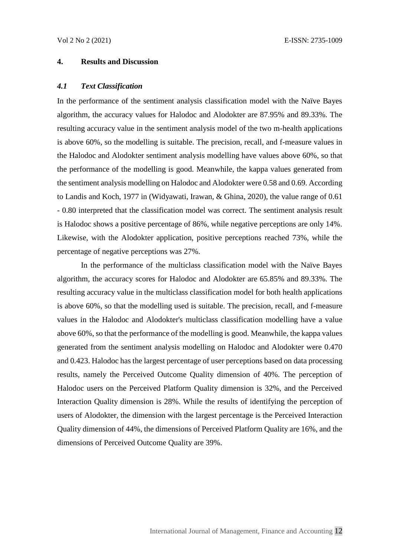# **4. Results and Discussion**

#### *4.1 Text Classification*

In the performance of the sentiment analysis classification model with the Naïve Bayes algorithm, the accuracy values for Halodoc and Alodokter are 87.95% and 89.33%. The resulting accuracy value in the sentiment analysis model of the two m-health applications is above 60%, so the modelling is suitable. The precision, recall, and f-measure values in the Halodoc and Alodokter sentiment analysis modelling have values above 60%, so that the performance of the modelling is good. Meanwhile, the kappa values generated from the sentiment analysis modelling on Halodoc and Alodokter were 0.58 and 0.69. According to Landis and Koch, 1977 in (Widyawati, Irawan, & Ghina, 2020), the value range of 0.61 - 0.80 interpreted that the classification model was correct. The sentiment analysis result is Halodoc shows a positive percentage of 86%, while negative perceptions are only 14%. Likewise, with the Alodokter application, positive perceptions reached 73%, while the percentage of negative perceptions was 27%.

In the performance of the multiclass classification model with the Naïve Bayes algorithm, the accuracy scores for Halodoc and Alodokter are 65.85% and 89.33%. The resulting accuracy value in the multiclass classification model for both health applications is above 60%, so that the modelling used is suitable. The precision, recall, and f-measure values in the Halodoc and Alodokter's multiclass classification modelling have a value above 60%, so that the performance of the modelling is good. Meanwhile, the kappa values generated from the sentiment analysis modelling on Halodoc and Alodokter were 0.470 and 0.423. Halodoc has the largest percentage of user perceptions based on data processing results, namely the Perceived Outcome Quality dimension of 40%. The perception of Halodoc users on the Perceived Platform Quality dimension is 32%, and the Perceived Interaction Quality dimension is 28%. While the results of identifying the perception of users of Alodokter, the dimension with the largest percentage is the Perceived Interaction Quality dimension of 44%, the dimensions of Perceived Platform Quality are 16%, and the dimensions of Perceived Outcome Quality are 39%.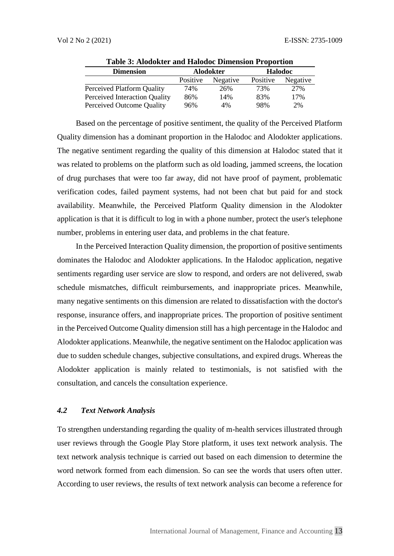|          |          | <b>Halodoc</b>   |          |
|----------|----------|------------------|----------|
| Positive | Negative | Positive         | Negative |
| 74%      | 26%      | 73%              | 27%      |
| 86%      | 14%      | 83%              | 17%      |
| 96%      | 4%       | 98%              | 2%       |
|          |          | <b>Alodokter</b> |          |

**Table 3: Alodokter and Halodoc Dimension Proportion**

Based on the percentage of positive sentiment, the quality of the Perceived Platform Quality dimension has a dominant proportion in the Halodoc and Alodokter applications. The negative sentiment regarding the quality of this dimension at Halodoc stated that it was related to problems on the platform such as old loading, jammed screens, the location of drug purchases that were too far away, did not have proof of payment, problematic verification codes, failed payment systems, had not been chat but paid for and stock availability. Meanwhile, the Perceived Platform Quality dimension in the Alodokter application is that it is difficult to log in with a phone number, protect the user's telephone number, problems in entering user data, and problems in the chat feature.

In the Perceived Interaction Quality dimension, the proportion of positive sentiments dominates the Halodoc and Alodokter applications. In the Halodoc application, negative sentiments regarding user service are slow to respond, and orders are not delivered, swab schedule mismatches, difficult reimbursements, and inappropriate prices. Meanwhile, many negative sentiments on this dimension are related to dissatisfaction with the doctor's response, insurance offers, and inappropriate prices. The proportion of positive sentiment in the Perceived Outcome Quality dimension still has a high percentage in the Halodoc and Alodokter applications. Meanwhile, the negative sentiment on the Halodoc application was due to sudden schedule changes, subjective consultations, and expired drugs. Whereas the Alodokter application is mainly related to testimonials, is not satisfied with the consultation, and cancels the consultation experience.

# *4.2 Text Network Analysis*

To strengthen understanding regarding the quality of m-health services illustrated through user reviews through the Google Play Store platform, it uses text network analysis. The text network analysis technique is carried out based on each dimension to determine the word network formed from each dimension. So can see the words that users often utter. According to user reviews, the results of text network analysis can become a reference for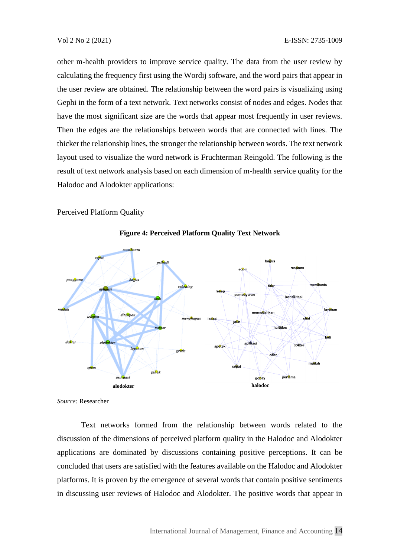other m-health providers to improve service quality. The data from the user review by calculating the frequency first using the Wordij software, and the word pairs that appear in the user review are obtained. The relationship between the word pairs is visualizing using Gephi in the form of a text network. Text networks consist of nodes and edges. Nodes that have the most significant size are the words that appear most frequently in user reviews. Then the edges are the relationships between words that are connected with lines. The thicker the relationship lines, the stronger the relationship between words. The text network layout used to visualize the word network is Fruchterman Reingold. The following is the result of text network analysis based on each dimension of m-health service quality for the Halodoc and Alodokter applications:

Perceived Platform Quality



**Figure 4: Perceived Platform Quality Text Network**

*Source:* Researcher

Text networks formed from the relationship between words related to the discussion of the dimensions of perceived platform quality in the Halodoc and Alodokter applications are dominated by discussions containing positive perceptions. It can be concluded that users are satisfied with the features available on the Halodoc and Alodokter platforms. It is proven by the emergence of several words that contain positive sentiments in discussing user reviews of Halodoc and Alodokter. The positive words that appear in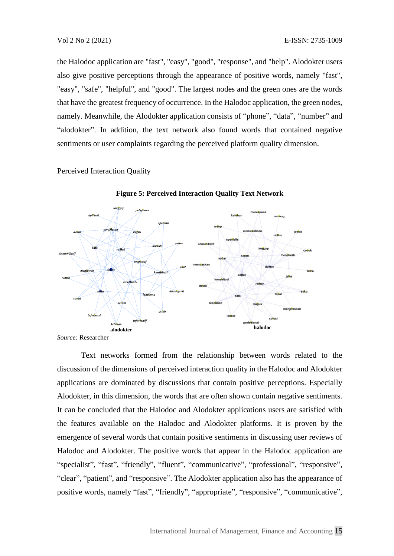the Halodoc application are "fast", "easy", "good", "response", and "help". Alodokter users also give positive perceptions through the appearance of positive words, namely "fast", "easy", "safe", "helpful", and "good". The largest nodes and the green ones are the words that have the greatest frequency of occurrence. In the Halodoc application, the green nodes, namely. Meanwhile, the Alodokter application consists of "phone", "data", "number" and "alodokter". In addition, the text network also found words that contained negative sentiments or user complaints regarding the perceived platform quality dimension.

Perceived Interaction Quality



**Figure 5: Perceived Interaction Quality Text Network**

*Source:* Researcher

Text networks formed from the relationship between words related to the discussion of the dimensions of perceived interaction quality in the Halodoc and Alodokter applications are dominated by discussions that contain positive perceptions. Especially Alodokter, in this dimension, the words that are often shown contain negative sentiments. It can be concluded that the Halodoc and Alodokter applications users are satisfied with the features available on the Halodoc and Alodokter platforms. It is proven by the emergence of several words that contain positive sentiments in discussing user reviews of Halodoc and Alodokter. The positive words that appear in the Halodoc application are "specialist", "fast", "friendly", "fluent", "communicative", "professional", "responsive", "clear", "patient", and "responsive". The Alodokter application also has the appearance of positive words, namely "fast", "friendly", "appropriate", "responsive", "communicative",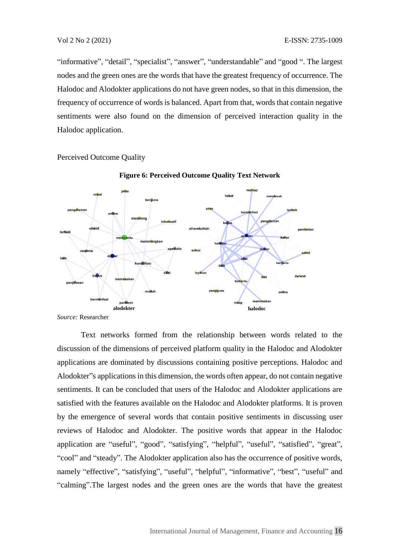"informative", "detail", "specialist", "answer", "understandable" and "good ". The largest nodes and the green ones are the words that have the greatest frequency of occurrence. The Halodoc and Alodokter applications do not have green nodes, so that in this dimension, the frequency of occurrence of words is balanced. Apart from that, words that contain negative sentiments were also found on the dimension of perceived interaction quality in the Halodoc application.

Perceived Outcome Quality



**Figure 6: Perceived Outcome Quality Text Network**

Text networks formed from the relationship between words related to the discussion of the dimensions of perceived platform quality in the Halodoc and Alodokter applications are dominated by discussions containing positive perceptions. Halodoc and Alodokter"s applications in this dimension, the words often appear, do not contain negative sentiments. It can be concluded that users of the Halodoc and Alodokter applications are satisfied with the features available on the Halodoc and Alodokter platforms. It is proven by the emergence of several words that contain positive sentiments in discussing user reviews of Halodoc and Alodokter. The positive words that appear in the Halodoc application are "useful", "good", "satisfying", "helpful", "useful", "satisfied", "great", "cool" and "steady". The Alodokter application also has the occurrence of positive words, namely "effective", "satisfying", "useful", "helpful", "informative", "best", "useful" and "calming".The largest nodes and the green ones are the words that have the greatest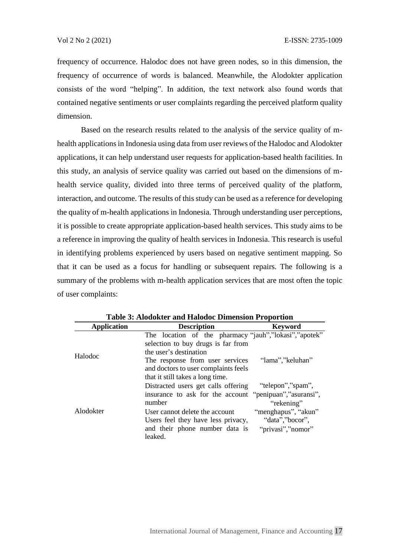frequency of occurrence. Halodoc does not have green nodes, so in this dimension, the frequency of occurrence of words is balanced. Meanwhile, the Alodokter application consists of the word "helping". In addition, the text network also found words that contained negative sentiments or user complaints regarding the perceived platform quality dimension.

Based on the research results related to the analysis of the service quality of mhealth applications in Indonesia using data from user reviews of the Halodoc and Alodokter applications, it can help understand user requests for application-based health facilities. In this study, an analysis of service quality was carried out based on the dimensions of mhealth service quality, divided into three terms of perceived quality of the platform, interaction, and outcome. The results of this study can be used as a reference for developing the quality of m-health applications in Indonesia. Through understanding user perceptions, it is possible to create appropriate application-based health services. This study aims to be a reference in improving the quality of health services in Indonesia. This research is useful in identifying problems experienced by users based on negative sentiment mapping. So that it can be used as a focus for handling or subsequent repairs. The following is a summary of the problems with m-health application services that are most often the topic of user complaints:

| <b>Application</b> | <b>Description</b>                                    | <b>Keyword</b>         |
|--------------------|-------------------------------------------------------|------------------------|
| Halodoc            | The location of the pharmacy "jauh","lokasi","apotek" |                        |
|                    | selection to buy drugs is far from                    |                        |
|                    | the user's destination                                |                        |
|                    | The response from user services                       | "lama","keluhan"       |
|                    | and doctors to user complaints feels                  |                        |
|                    | that it still takes a long time.                      |                        |
| Alodokter          | Distracted users get calls offering                   | "telepon","spam",      |
|                    | insurance to ask for the account                      | "penipuan","asuransi", |
|                    | number                                                | "rekening"             |
|                    | User cannot delete the account                        | "menghapus", "akun"    |
|                    | Users feel they have less privacy,                    | "data", "bocor",       |
|                    | and their phone number data is                        | "privasi","nomor"      |
|                    | leaked.                                               |                        |

**Table 3: Alodokter and Halodoc Dimension Proportion**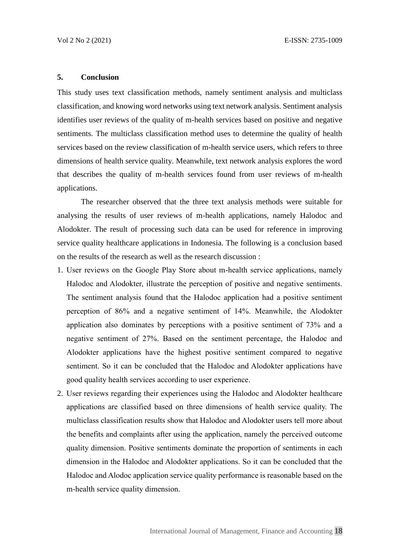## **5. Conclusion**

This study uses text classification methods, namely sentiment analysis and multiclass classification, and knowing word networks using text network analysis. Sentiment analysis identifies user reviews of the quality of m-health services based on positive and negative sentiments. The multiclass classification method uses to determine the quality of health services based on the review classification of m-health service users, which refers to three dimensions of health service quality. Meanwhile, text network analysis explores the word that describes the quality of m-health services found from user reviews of m-health applications.

The researcher observed that the three text analysis methods were suitable for analysing the results of user reviews of m-health applications, namely Halodoc and Alodokter. The result of processing such data can be used for reference in improving service quality healthcare applications in Indonesia. The following is a conclusion based on the results of the research as well as the research discussion :

- 1. User reviews on the Google Play Store about m-health service applications, namely Halodoc and Alodokter, illustrate the perception of positive and negative sentiments. The sentiment analysis found that the Halodoc application had a positive sentiment perception of 86% and a negative sentiment of 14%. Meanwhile, the Alodokter application also dominates by perceptions with a positive sentiment of 73% and a negative sentiment of 27%. Based on the sentiment percentage, the Halodoc and Alodokter applications have the highest positive sentiment compared to negative sentiment. So it can be concluded that the Halodoc and Alodokter applications have good quality health services according to user experience.
- 2. User reviews regarding their experiences using the Halodoc and Alodokter healthcare applications are classified based on three dimensions of health service quality. The multiclass classification results show that Halodoc and Alodokter users tell more about the benefits and complaints after using the application, namely the perceived outcome quality dimension. Positive sentiments dominate the proportion of sentiments in each dimension in the Halodoc and Alodokter applications. So it can be concluded that the Halodoc and Alodoc application service quality performance is reasonable based on the m-health service quality dimension.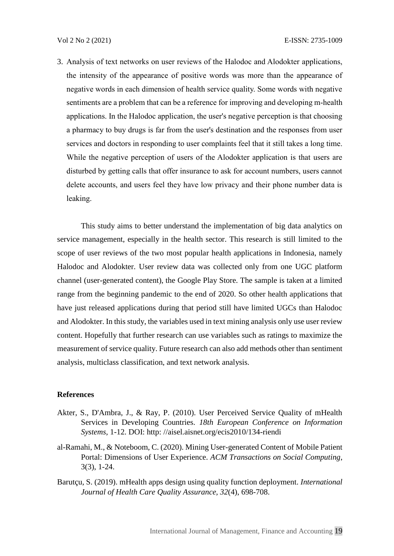3. Analysis of text networks on user reviews of the Halodoc and Alodokter applications, the intensity of the appearance of positive words was more than the appearance of negative words in each dimension of health service quality. Some words with negative sentiments are a problem that can be a reference for improving and developing m-health applications. In the Halodoc application, the user's negative perception is that choosing a pharmacy to buy drugs is far from the user's destination and the responses from user services and doctors in responding to user complaints feel that it still takes a long time. While the negative perception of users of the Alodokter application is that users are disturbed by getting calls that offer insurance to ask for account numbers, users cannot delete accounts, and users feel they have low privacy and their phone number data is leaking.

This study aims to better understand the implementation of big data analytics on service management, especially in the health sector. This research is still limited to the scope of user reviews of the two most popular health applications in Indonesia, namely Halodoc and Alodokter. User review data was collected only from one UGC platform channel (user-generated content), the Google Play Store. The sample is taken at a limited range from the beginning pandemic to the end of 2020. So other health applications that have just released applications during that period still have limited UGCs than Halodoc and Alodokter. In this study, the variables used in text mining analysis only use user review content. Hopefully that further research can use variables such as ratings to maximize the measurement of service quality. Future research can also add methods other than sentiment analysis, multiclass classification, and text network analysis.

## **References**

- Akter, S., D'Ambra, J., & Ray, P. (2010). User Perceived Service Quality of mHealth Services in Developing Countries. *18th European Conference on Information Systems*, 1-12. DOI: http: //aisel.aisnet.org/ecis2010/134-riendi
- al-Ramahi, M., & Noteboom, C. (2020). Mining User-generated Content of Mobile Patient Portal: Dimensions of User Experience. *ACM Transactions on Social Computing*, 3(3), 1-24.
- Barutçu, S. (2019). mHealth apps design using quality function deployment. *International Journal of Health Care Quality Assurance, 32*(4), 698-708.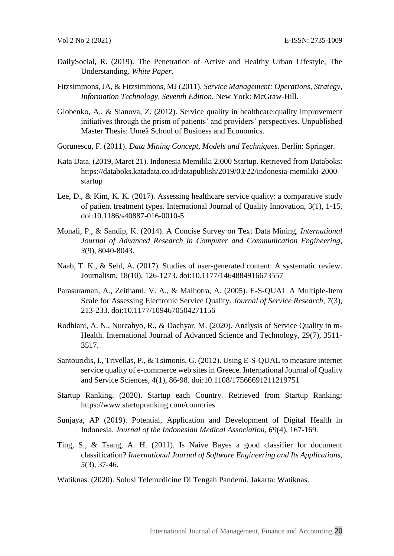- DailySocial, R. (2019). The Penetration of Active and Healthy Urban Lifestyle, The Understanding. *White Paper*.
- Fitzsimmons, JA, & Fitzsimmons, MJ (2011). *Service Management: Operations, Strategy, Information Technology, Seventh Edition.* New York: McGraw-Hill.
- Globenko, A., & Sianova, Z. (2012). Service quality in healthcare:quality improvement initiatives through the prism of patients' and providers' perspectives. Unpublished Master Thesis: Umeå School of Business and Economics.
- Gorunescu, F. (2011). *Data Mining Concept, Models and Techniques.* Berlin: Springer.
- Kata Data. (2019, Maret 21). Indonesia Memiliki 2.000 Startup. Retrieved from Databoks: https://databoks.katadata.co.id/datapublish/2019/03/22/indonesia-memiliki-2000 startup
- Lee, D., & Kim, K. K. (2017). Assessing healthcare service quality: a comparative study of patient treatment types. International Journal of Quality Innovation, 3(1), 1-15. doi:10.1186/s40887-016-0010-5
- Monali, P., & Sandip, K. (2014). A Concise Survey on Text Data Mining. *International Journal of Advanced Research in Computer and Communication Engineering, 3*(9), 8040-8043.
- Naab, T. K., & Sehl, A. (2017). Studies of user-generated content: A systematic review. Journalism, 18(10), 126-1273. doi:10.1177/1464884916673557
- Parasuraman, A., Zeithaml, V. A., & Malhotra, A. (2005). E-S-QUAL A Multiple-Item Scale for Assessing Electronic Service Quality. *Journal of Service Research, 7*(3), 213-233. doi:10.1177/1094670504271156
- Rodhiani, A. N., Nurcahyo, R., & Dachyar, M. (2020). Analysis of Service Quality in m-Health. International Journal of Advanced Science and Technology, 29(7), 3511- 3517.
- Santouridis, I., Trivellas, P., & Tsimonis, G. (2012). Using E-S-QUAL to measure internet service quality of e-commerce web sites in Greece. International Journal of Quality and Service Sciences, 4(1), 86-98. doi:10.1108/17566691211219751
- Startup Ranking. (2020). Startup each Country. Retrieved from Startup Ranking: https://www.startupranking.com/countries
- Sunjaya, AP (2019). Potential, Application and Development of Digital Health in Indonesia. *Journal of the Indonesian Medical Association, 69*(4), 167-169.
- Ting, S., & Tsang, A. H. (2011). Is Naive Bayes a good classifier for document classification? *International Journal of Software Engineering and Its Applications, 5*(3), 37-46.
- Watiknas. (2020). Solusi Telemedicine Di Tengah Pandemi. Jakarta: Watiknas.